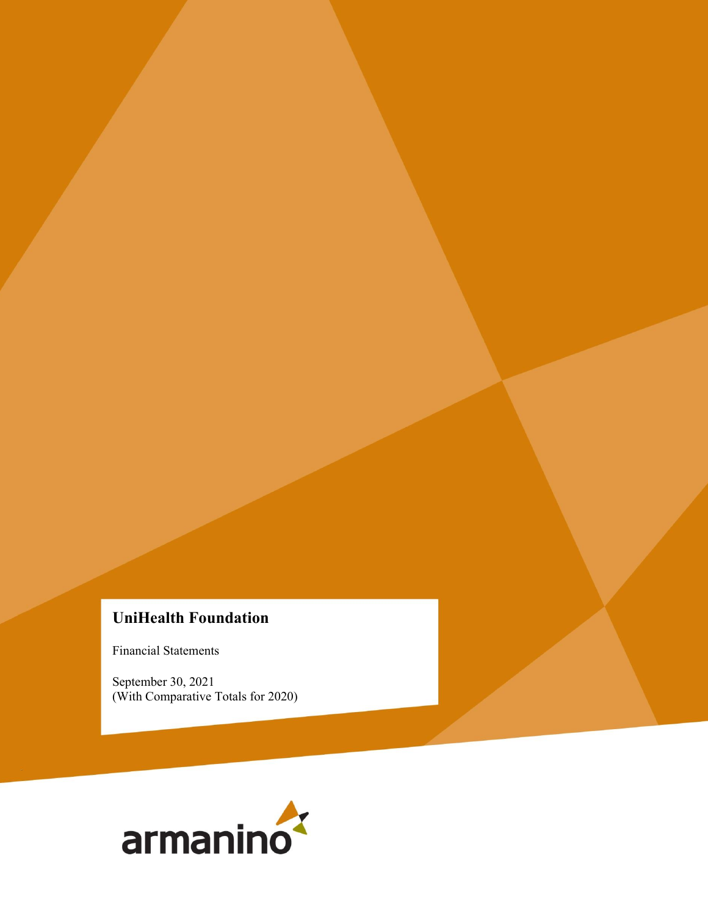# **UniHealth Foundation**

Financial Statements

September 30, 2021 (With Comparative Totals for 2020)

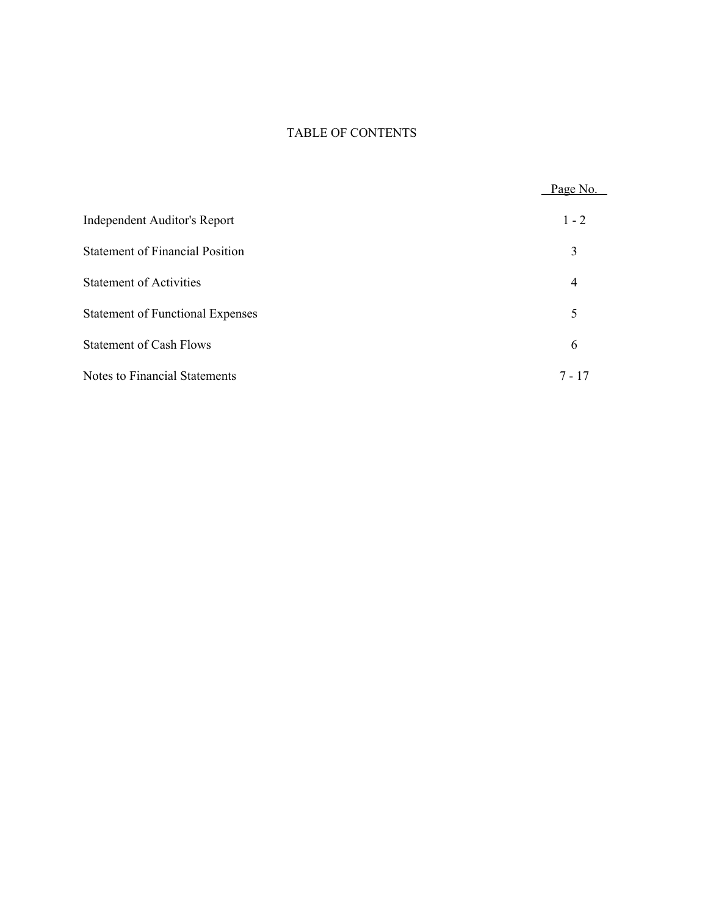## TABLE OF CONTENTS

|                                         | Page No. |
|-----------------------------------------|----------|
| Independent Auditor's Report            | $1 - 2$  |
| <b>Statement of Financial Position</b>  | 3        |
| <b>Statement of Activities</b>          | 4        |
| <b>Statement of Functional Expenses</b> | 5        |
| <b>Statement of Cash Flows</b>          | 6        |
| <b>Notes to Financial Statements</b>    | 7 - 17   |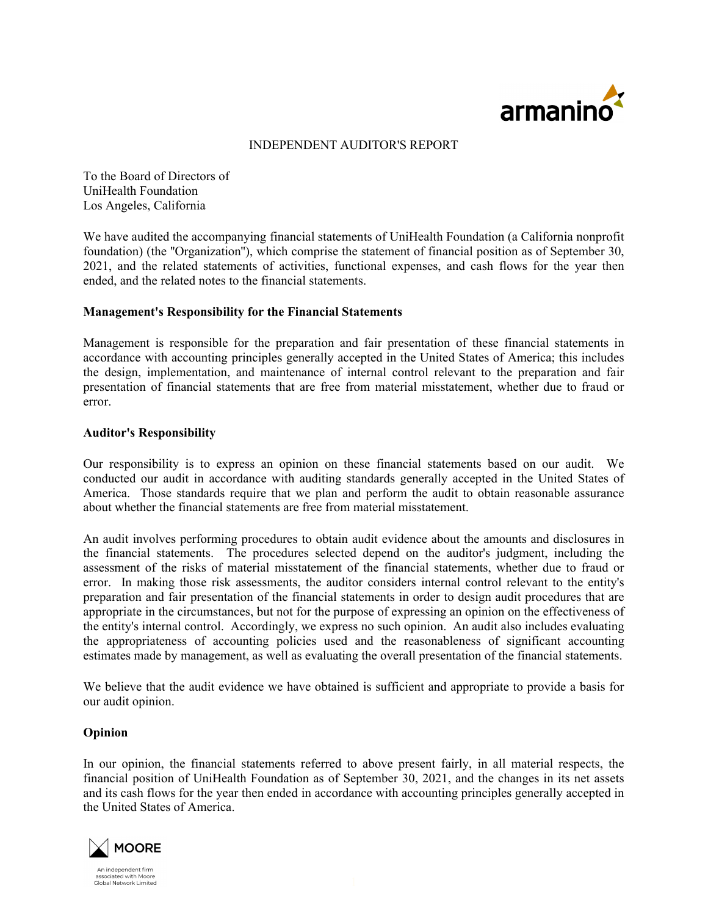

### INDEPENDENT AUDITOR'S REPORT

To the Board of Directors of UniHealth Foundation Los Angeles, California

We have audited the accompanying financial statements of UniHealth Foundation (a California nonprofit foundation) (the ''Organization''), which comprise the statement of financial position as of September 30, 2021, and the related statements of activities, functional expenses, and cash flows for the year then ended, and the related notes to the financial statements.

## **Management's Responsibility for the Financial Statements**

Management is responsible for the preparation and fair presentation of these financial statements in accordance with accounting principles generally accepted in the United States of America; this includes the design, implementation, and maintenance of internal control relevant to the preparation and fair presentation of financial statements that are free from material misstatement, whether due to fraud or error.

## **Auditor's Responsibility**

Our responsibility is to express an opinion on these financial statements based on our audit. We conducted our audit in accordance with auditing standards generally accepted in the United States of America. Those standards require that we plan and perform the audit to obtain reasonable assurance about whether the financial statements are free from material misstatement.

An audit involves performing procedures to obtain audit evidence about the amounts and disclosures in the financial statements. The procedures selected depend on the auditor's judgment, including the assessment of the risks of material misstatement of the financial statements, whether due to fraud or error. In making those risk assessments, the auditor considers internal control relevant to the entity's preparation and fair presentation of the financial statements in order to design audit procedures that are appropriate in the circumstances, but not for the purpose of expressing an opinion on the effectiveness of the entity's internal control. Accordingly, we express no such opinion. An audit also includes evaluating the appropriateness of accounting policies used and the reasonableness of significant accounting estimates made by management, as well as evaluating the overall presentation of the financial statements.

We believe that the audit evidence we have obtained is sufficient and appropriate to provide a basis for our audit opinion.

### **Opinion**

In our opinion, the financial statements referred to above present fairly, in all material respects, the financial position of UniHealth Foundation as of September 30, 2021, and the changes in its net assets and its cash flows for the year then ended in accordance with accounting principles generally accepted in the United States of America.



An indenendent firm Arringependent mini-<br>associated with Moore<br>Global Network Limited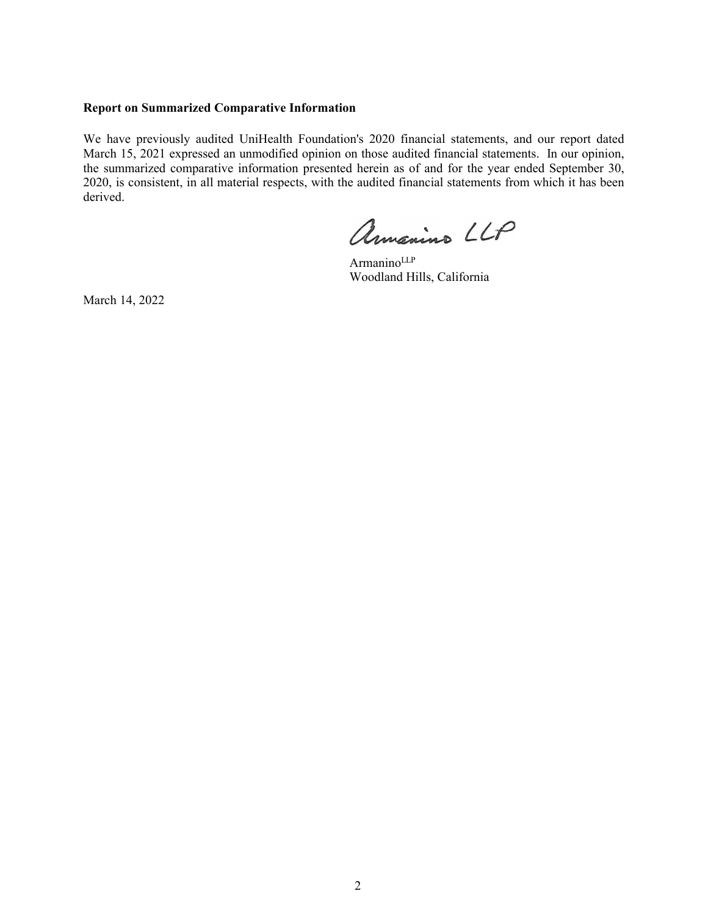## **Report on Summarized Comparative Information**

We have previously audited UniHealth Foundation's 2020 financial statements, and our report dated March 15, 2021 expressed an unmodified opinion on those audited financial statements. In our opinion, the summarized comparative information presented herein as of and for the year ended September 30, 2020, is consistent, in all material respects, with the audited financial statements from which it has been derived.

armanino LLP

ArmaninoLLP Woodland Hills, California

March 14, 2022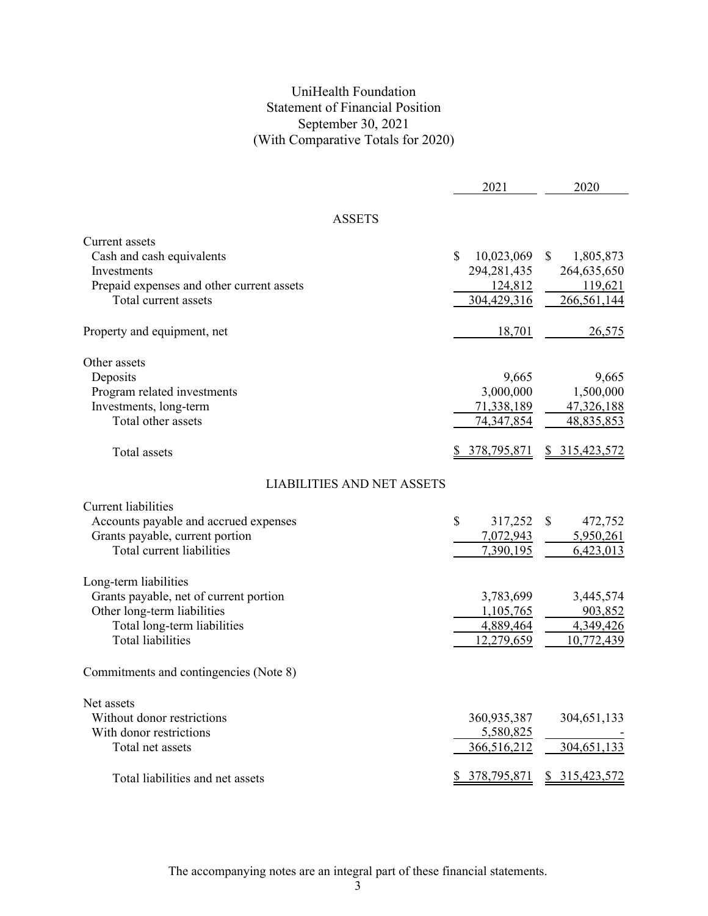## UniHealth Foundation Statement of Financial Position September 30, 2021 (With Comparative Totals for 2020)

|                                           | 2021                       | 2020                 |
|-------------------------------------------|----------------------------|----------------------|
| <b>ASSETS</b>                             |                            |                      |
| Current assets                            |                            |                      |
| Cash and cash equivalents                 | $\mathbb{S}$<br>10,023,069 | \$<br>1,805,873      |
| Investments                               | 294,281,435                | 264,635,650          |
| Prepaid expenses and other current assets | 124,812                    | 119,621              |
| Total current assets                      | 304,429,316                | 266,561,144          |
| Property and equipment, net               | 18,701                     | <u>26,575</u>        |
| Other assets                              |                            |                      |
| Deposits                                  | 9,665                      | 9,665                |
| Program related investments               | 3,000,000                  | 1,500,000            |
| Investments, long-term                    | 71,338,189                 | 47,326,188           |
| Total other assets                        | 74,347,854                 | 48,835,853           |
| Total assets                              | 378,795,871                | <u>\$315,423,572</u> |
| <b>LIABILITIES AND NET ASSETS</b>         |                            |                      |
| <b>Current liabilities</b>                |                            |                      |
| Accounts payable and accrued expenses     | \$<br>317,252              | \$<br>472,752        |
| Grants payable, current portion           | 7,072,943                  | 5,950,261            |
| Total current liabilities                 | 7,390,195                  | 6,423,013            |
| Long-term liabilities                     |                            |                      |
| Grants payable, net of current portion    | 3,783,699                  | 3,445,574            |
| Other long-term liabilities               | 1,105,765                  | 903,852              |
| Total long-term liabilities               | 4,889,464                  | 4,349,426            |
| <b>Total liabilities</b>                  | 12,279,659                 | 10,772,439           |
| Commitments and contingencies (Note 8)    |                            |                      |
| Net assets                                |                            |                      |
| Without donor restrictions                | 360,935,387                | 304,651,133          |
| With donor restrictions                   | 5,580,825                  |                      |
| Total net assets                          | 366,516,212                | 304,651,133          |
| Total liabilities and net assets          | <u>\$378,795,871</u>       | \$315,423,572        |

The accompanying notes are an integral part of these financial statements.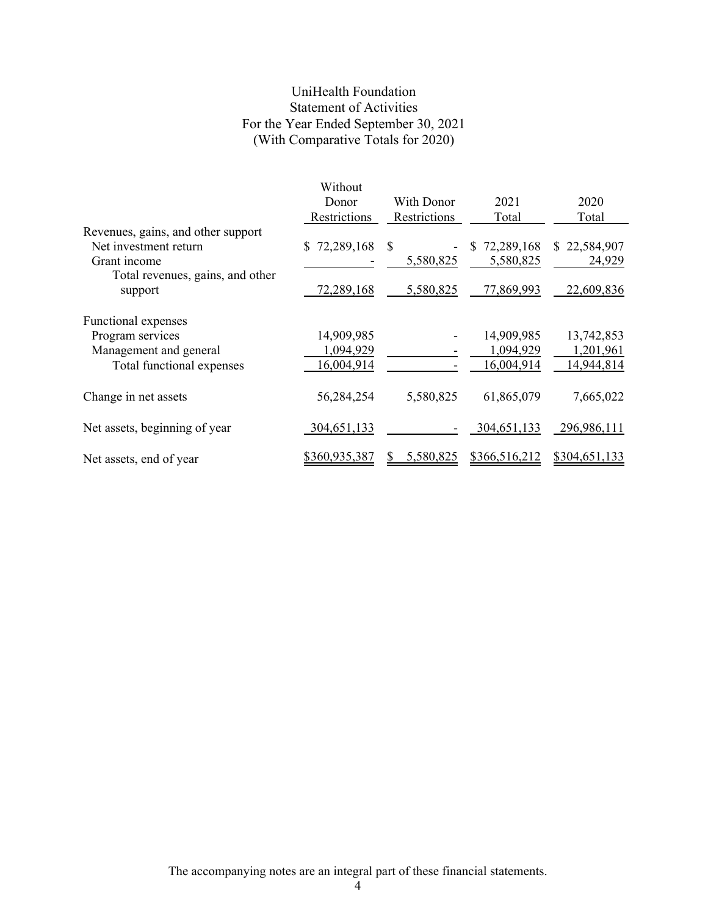## UniHealth Foundation Statement of Activities For the Year Ended September 30, 2021 (With Comparative Totals for 2020)

|                                    | Without         |                |                 |               |
|------------------------------------|-----------------|----------------|-----------------|---------------|
|                                    | Donor           | With Donor     | 2021            | 2020          |
|                                    | Restrictions    | Restrictions   | Total           | Total         |
| Revenues, gains, and other support |                 |                |                 |               |
| Net investment return              | 72,289,168<br>S | \$             | 72,289,168<br>S | \$22,584,907  |
| Grant income                       |                 | 5,580,825      | 5,580,825       | 24,929        |
| Total revenues, gains, and other   |                 |                |                 |               |
| support                            | 72,289,168      | 5,580,825      | 77,869,993      | 22,609,836    |
| Functional expenses                |                 |                |                 |               |
| Program services                   | 14,909,985      |                | 14,909,985      | 13,742,853    |
| Management and general             | 1,094,929       |                | 1,094,929       | 1,201,961     |
| Total functional expenses          | 16,004,914      |                | 16,004,914      | 14,944,814    |
| Change in net assets               | 56,284,254      | 5,580,825      | 61,865,079      | 7,665,022     |
| Net assets, beginning of year      | 304,651,133     |                | 304,651,133     | 296,986,111   |
| Net assets, end of year            | \$360,935,387   | 5,580,825<br>S | \$366,516,212   | \$304,651,133 |

The accompanying notes are an integral part of these financial statements.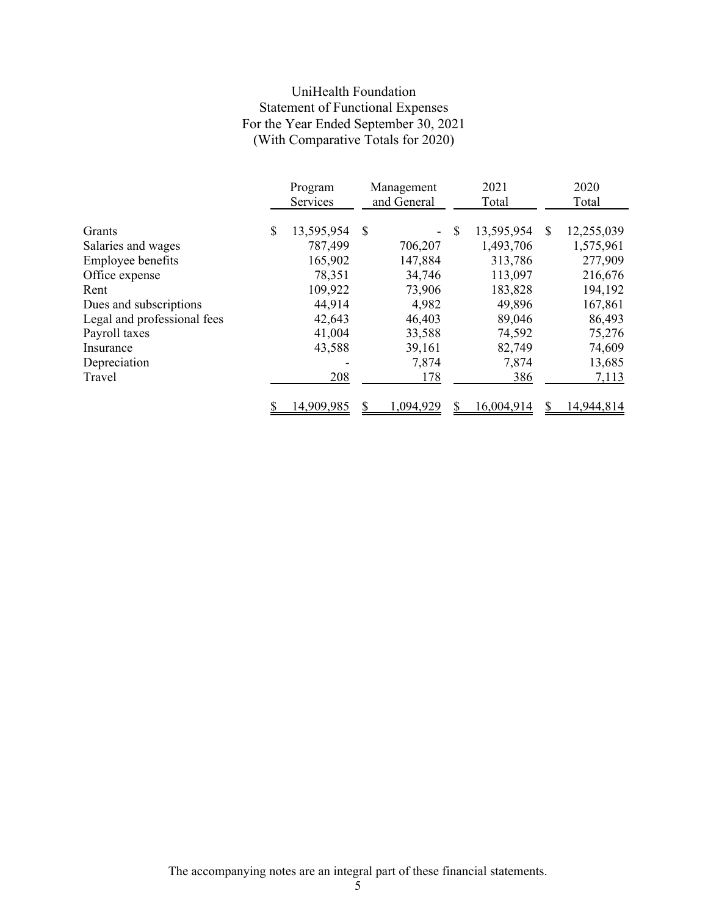## UniHealth Foundation Statement of Functional Expenses For the Year Ended September 30, 2021 (With Comparative Totals for 2020)

|                             | Management<br>Program<br>and General<br>Services |           |       | 2021<br>Total |    | 2020<br>Total |
|-----------------------------|--------------------------------------------------|-----------|-------|---------------|----|---------------|
|                             |                                                  |           |       |               |    |               |
| Grants                      | \$<br>13,595,954                                 | \$        | \$    | 13,595,954    | \$ | 12,255,039    |
| Salaries and wages          | 787,499                                          | 706,207   |       | 1,493,706     |    | 1,575,961     |
| Employee benefits           | 165,902                                          | 147,884   |       | 313,786       |    | 277,909       |
| Office expense              | 78,351                                           | 34,746    |       | 113,097       |    | 216,676       |
| Rent                        | 109,922                                          | 73,906    |       | 183,828       |    | 194,192       |
| Dues and subscriptions      | 44,914                                           | 4,982     |       | 49,896        |    | 167,861       |
| Legal and professional fees | 42,643                                           | 46,403    |       | 89,046        |    | 86,493        |
| Payroll taxes               | 41,004                                           | 33,588    |       | 74,592        |    | 75,276        |
| Insurance                   | 43,588                                           | 39,161    |       | 82,749        |    | 74,609        |
| Depreciation                |                                                  |           | 7,874 | 7,874         |    | 13,685        |
| Travel                      | 208                                              |           | 178   | 386           |    | 7,113         |
|                             | 14,909,985                                       | 1,094,929 |       | 16,004,914    |    | 14,944,814    |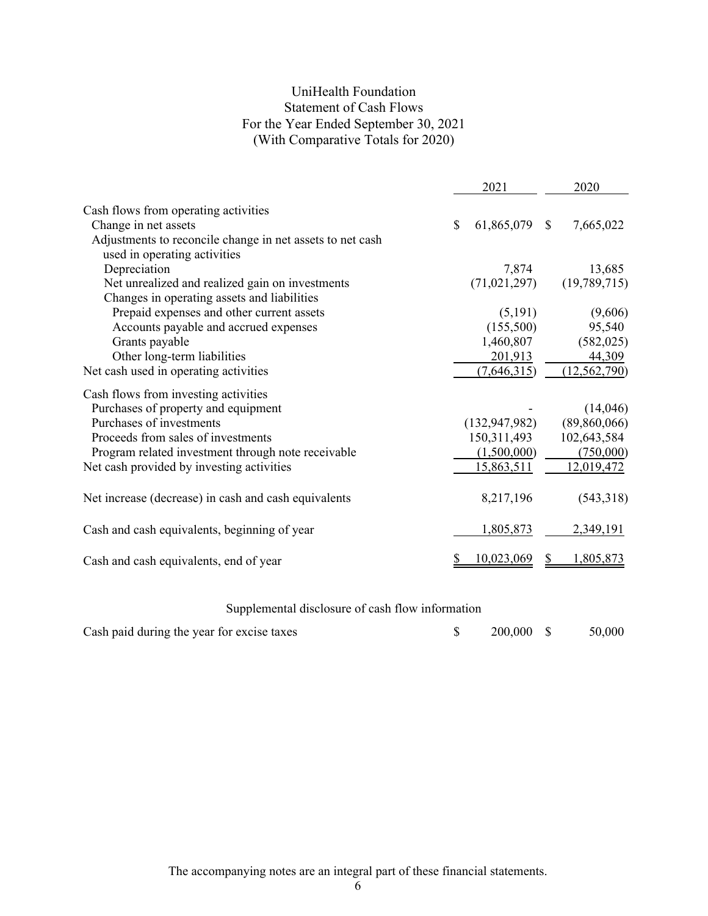## UniHealth Foundation Statement of Cash Flows For the Year Ended September 30, 2021 (With Comparative Totals for 2020)

|                                                                                                |               | 2021            |               | 2020           |
|------------------------------------------------------------------------------------------------|---------------|-----------------|---------------|----------------|
| Cash flows from operating activities                                                           |               |                 |               |                |
| Change in net assets                                                                           | $\mathcal{S}$ | 61,865,079      | <sup>\$</sup> | 7,665,022      |
| Adjustments to reconcile change in net assets to net cash<br>used in operating activities      |               |                 |               |                |
| Depreciation                                                                                   |               | 7,874           |               | 13,685         |
| Net unrealized and realized gain on investments<br>Changes in operating assets and liabilities |               | (71, 021, 297)  |               | (19,789,715)   |
| Prepaid expenses and other current assets                                                      |               | (5,191)         |               | (9,606)        |
| Accounts payable and accrued expenses                                                          |               | (155,500)       |               | 95,540         |
| Grants payable                                                                                 |               | 1,460,807       |               | (582, 025)     |
| Other long-term liabilities                                                                    |               | 201,913         |               | 44,309         |
| Net cash used in operating activities                                                          |               | (7,646,315)     |               | (12, 562, 790) |
| Cash flows from investing activities                                                           |               |                 |               |                |
| Purchases of property and equipment                                                            |               |                 |               | (14,046)       |
| Purchases of investments                                                                       |               | (132, 947, 982) |               | (89,860,066)   |
| Proceeds from sales of investments                                                             |               | 150,311,493     |               | 102,643,584    |
| Program related investment through note receivable                                             |               | (1,500,000)     |               | (750,000)      |
| Net cash provided by investing activities                                                      |               | 15,863,511      |               | 12,019,472     |
| Net increase (decrease) in cash and cash equivalents                                           |               | 8,217,196       |               | (543,318)      |
| Cash and cash equivalents, beginning of year                                                   |               | 1,805,873       |               | 2,349,191      |
| Cash and cash equivalents, end of year                                                         |               | 10,023,069      | S             | 1,805,873      |

## Supplemental disclosure of cash flow information

| Cash paid during the year for excise taxes |  | 200,000 \$ | 50,000 |
|--------------------------------------------|--|------------|--------|
|--------------------------------------------|--|------------|--------|

The accompanying notes are an integral part of these financial statements.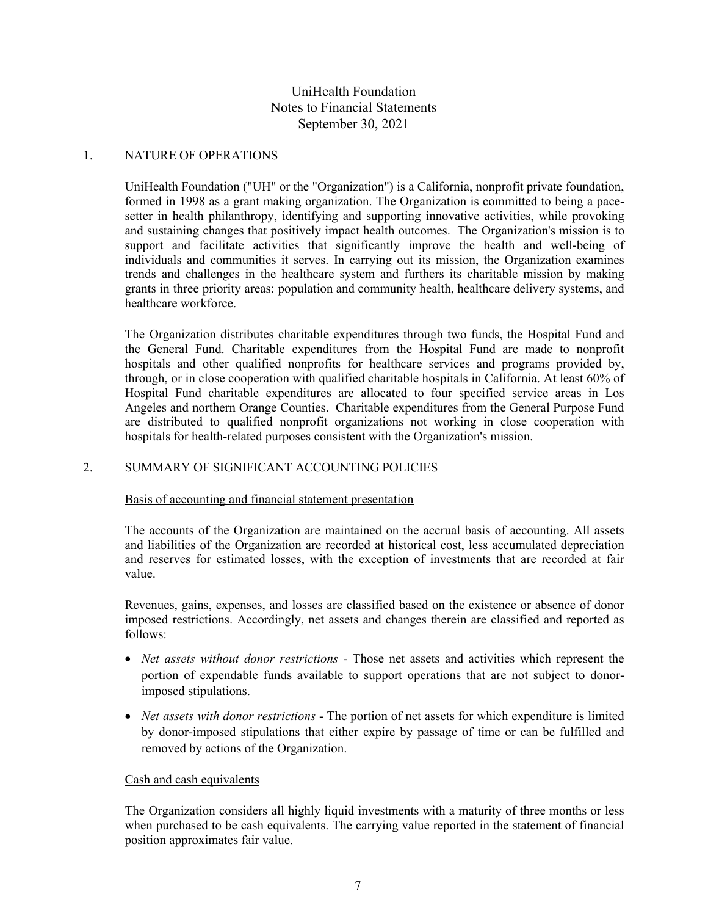## 1. NATURE OF OPERATIONS

UniHealth Foundation ("UH" or the "Organization") is a California, nonprofit private foundation, formed in 1998 as a grant making organization. The Organization is committed to being a pacesetter in health philanthropy, identifying and supporting innovative activities, while provoking and sustaining changes that positively impact health outcomes. The Organization's mission is to support and facilitate activities that significantly improve the health and well-being of individuals and communities it serves. In carrying out its mission, the Organization examines trends and challenges in the healthcare system and furthers its charitable mission by making grants in three priority areas: population and community health, healthcare delivery systems, and healthcare workforce.

The Organization distributes charitable expenditures through two funds, the Hospital Fund and the General Fund. Charitable expenditures from the Hospital Fund are made to nonprofit hospitals and other qualified nonprofits for healthcare services and programs provided by, through, or in close cooperation with qualified charitable hospitals in California. At least 60% of Hospital Fund charitable expenditures are allocated to four specified service areas in Los Angeles and northern Orange Counties. Charitable expenditures from the General Purpose Fund are distributed to qualified nonprofit organizations not working in close cooperation with hospitals for health-related purposes consistent with the Organization's mission.

## 2. SUMMARY OF SIGNIFICANT ACCOUNTING POLICIES

### Basis of accounting and financial statement presentation

The accounts of the Organization are maintained on the accrual basis of accounting. All assets and liabilities of the Organization are recorded at historical cost, less accumulated depreciation and reserves for estimated losses, with the exception of investments that are recorded at fair value.

Revenues, gains, expenses, and losses are classified based on the existence or absence of donor imposed restrictions. Accordingly, net assets and changes therein are classified and reported as follows:

- *Net assets without donor restrictions* Those net assets and activities which represent the portion of expendable funds available to support operations that are not subject to donorimposed stipulations.
- *Net assets with donor restrictions* The portion of net assets for which expenditure is limited by donor-imposed stipulations that either expire by passage of time or can be fulfilled and removed by actions of the Organization.

### Cash and cash equivalents

The Organization considers all highly liquid investments with a maturity of three months or less when purchased to be cash equivalents. The carrying value reported in the statement of financial position approximates fair value.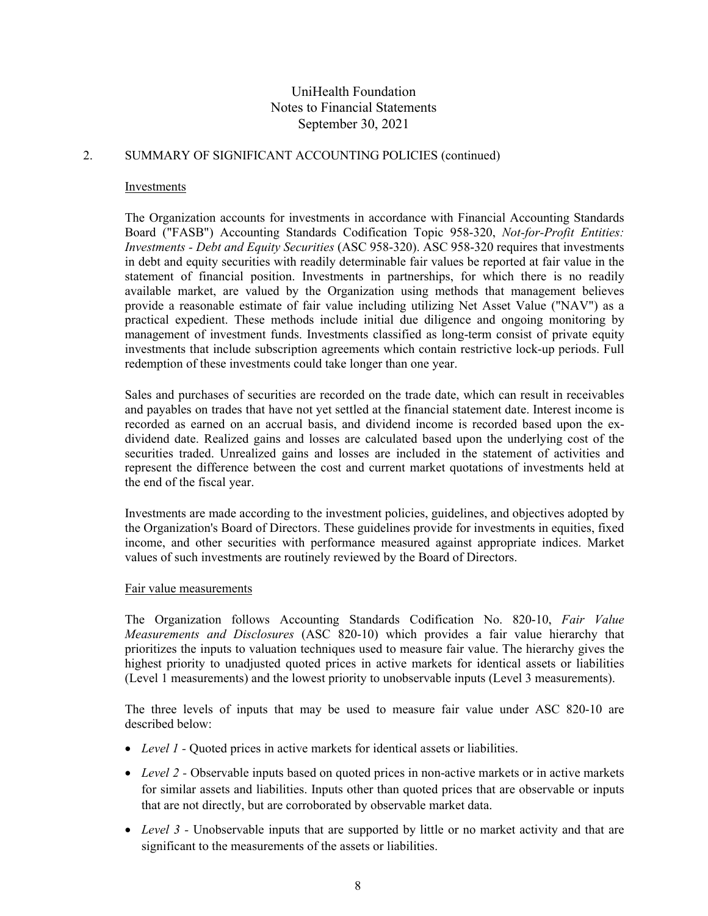## 2. SUMMARY OF SIGNIFICANT ACCOUNTING POLICIES (continued)

#### Investments

The Organization accounts for investments in accordance with Financial Accounting Standards Board ("FASB") Accounting Standards Codification Topic 958-320, *Not-for-Profit Entities: Investments - Debt and Equity Securities* (ASC 958-320). ASC 958-320 requires that investments in debt and equity securities with readily determinable fair values be reported at fair value in the statement of financial position. Investments in partnerships, for which there is no readily available market, are valued by the Organization using methods that management believes provide a reasonable estimate of fair value including utilizing Net Asset Value ("NAV") as a practical expedient. These methods include initial due diligence and ongoing monitoring by management of investment funds. Investments classified as long-term consist of private equity investments that include subscription agreements which contain restrictive lock-up periods. Full redemption of these investments could take longer than one year.

Sales and purchases of securities are recorded on the trade date, which can result in receivables and payables on trades that have not yet settled at the financial statement date. Interest income is recorded as earned on an accrual basis, and dividend income is recorded based upon the exdividend date. Realized gains and losses are calculated based upon the underlying cost of the securities traded. Unrealized gains and losses are included in the statement of activities and represent the difference between the cost and current market quotations of investments held at the end of the fiscal year.

Investments are made according to the investment policies, guidelines, and objectives adopted by the Organization's Board of Directors. These guidelines provide for investments in equities, fixed income, and other securities with performance measured against appropriate indices. Market values of such investments are routinely reviewed by the Board of Directors.

### Fair value measurements

The Organization follows Accounting Standards Codification No. 820-10, *Fair Value Measurements and Disclosures* (ASC 820-10) which provides a fair value hierarchy that prioritizes the inputs to valuation techniques used to measure fair value. The hierarchy gives the highest priority to unadjusted quoted prices in active markets for identical assets or liabilities (Level 1 measurements) and the lowest priority to unobservable inputs (Level 3 measurements).

The three levels of inputs that may be used to measure fair value under ASC 820-10 are described below:

- *Level 1 -* Quoted prices in active markets for identical assets or liabilities.
- *Level 2 -* Observable inputs based on quoted prices in non-active markets or in active markets for similar assets and liabilities. Inputs other than quoted prices that are observable or inputs that are not directly, but are corroborated by observable market data.
- *Level 3 -* Unobservable inputs that are supported by little or no market activity and that are significant to the measurements of the assets or liabilities.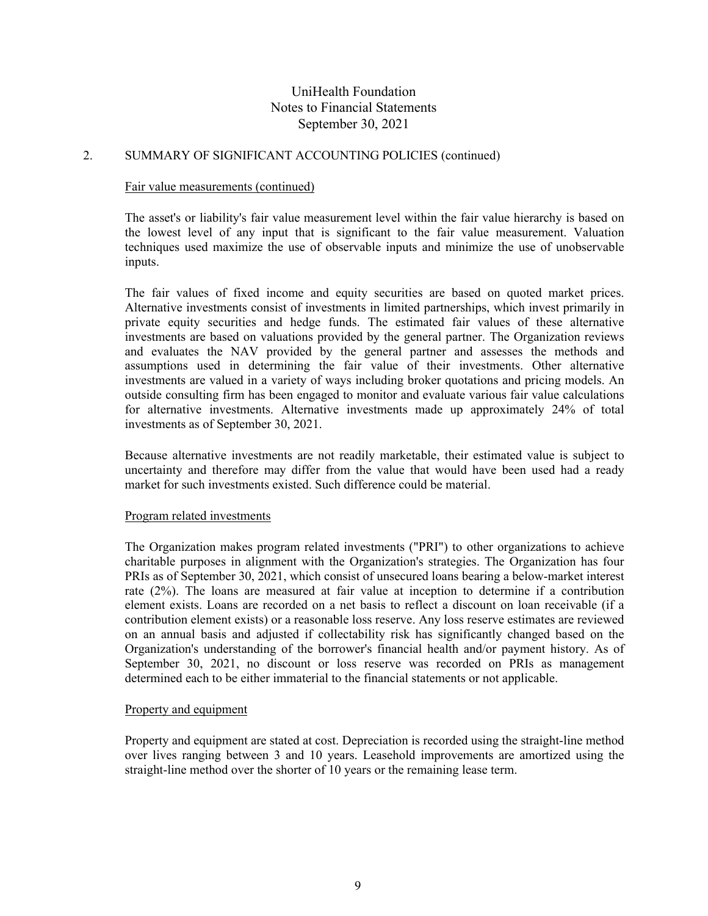## 2. SUMMARY OF SIGNIFICANT ACCOUNTING POLICIES (continued)

#### Fair value measurements (continued)

The asset's or liability's fair value measurement level within the fair value hierarchy is based on the lowest level of any input that is significant to the fair value measurement. Valuation techniques used maximize the use of observable inputs and minimize the use of unobservable inputs.

The fair values of fixed income and equity securities are based on quoted market prices. Alternative investments consist of investments in limited partnerships, which invest primarily in private equity securities and hedge funds. The estimated fair values of these alternative investments are based on valuations provided by the general partner. The Organization reviews and evaluates the NAV provided by the general partner and assesses the methods and assumptions used in determining the fair value of their investments. Other alternative investments are valued in a variety of ways including broker quotations and pricing models. An outside consulting firm has been engaged to monitor and evaluate various fair value calculations for alternative investments. Alternative investments made up approximately 24% of total investments as of September 30, 2021.

Because alternative investments are not readily marketable, their estimated value is subject to uncertainty and therefore may differ from the value that would have been used had a ready market for such investments existed. Such difference could be material.

### Program related investments

The Organization makes program related investments ("PRI") to other organizations to achieve charitable purposes in alignment with the Organization's strategies. The Organization has four PRIs as of September 30, 2021, which consist of unsecured loans bearing a below-market interest rate (2%). The loans are measured at fair value at inception to determine if a contribution element exists. Loans are recorded on a net basis to reflect a discount on loan receivable (if a contribution element exists) or a reasonable loss reserve. Any loss reserve estimates are reviewed on an annual basis and adjusted if collectability risk has significantly changed based on the Organization's understanding of the borrower's financial health and/or payment history. As of September 30, 2021, no discount or loss reserve was recorded on PRIs as management determined each to be either immaterial to the financial statements or not applicable.

### Property and equipment

Property and equipment are stated at cost. Depreciation is recorded using the straight-line method over lives ranging between 3 and 10 years. Leasehold improvements are amortized using the straight-line method over the shorter of 10 years or the remaining lease term.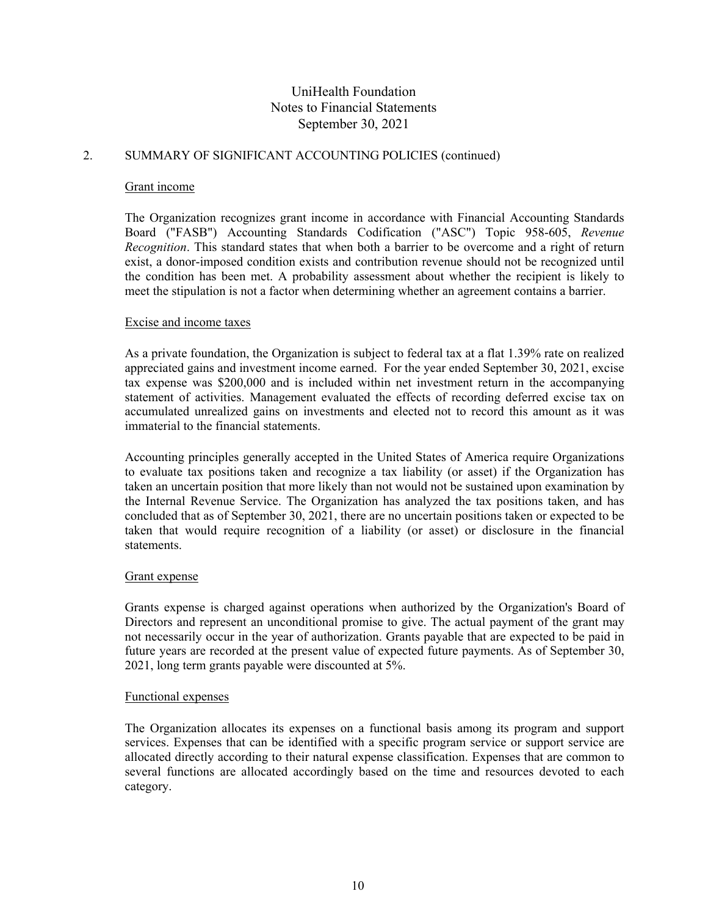## 2. SUMMARY OF SIGNIFICANT ACCOUNTING POLICIES (continued)

#### Grant income

The Organization recognizes grant income in accordance with Financial Accounting Standards Board ("FASB") Accounting Standards Codification ("ASC") Topic 958-605, *Revenue Recognition*. This standard states that when both a barrier to be overcome and a right of return exist, a donor-imposed condition exists and contribution revenue should not be recognized until the condition has been met. A probability assessment about whether the recipient is likely to meet the stipulation is not a factor when determining whether an agreement contains a barrier.

### Excise and income taxes

As a private foundation, the Organization is subject to federal tax at a flat 1.39% rate on realized appreciated gains and investment income earned. For the year ended September 30, 2021, excise tax expense was \$200,000 and is included within net investment return in the accompanying statement of activities. Management evaluated the effects of recording deferred excise tax on accumulated unrealized gains on investments and elected not to record this amount as it was immaterial to the financial statements.

Accounting principles generally accepted in the United States of America require Organizations to evaluate tax positions taken and recognize a tax liability (or asset) if the Organization has taken an uncertain position that more likely than not would not be sustained upon examination by the Internal Revenue Service. The Organization has analyzed the tax positions taken, and has concluded that as of September 30, 2021, there are no uncertain positions taken or expected to be taken that would require recognition of a liability (or asset) or disclosure in the financial statements.

### Grant expense

Grants expense is charged against operations when authorized by the Organization's Board of Directors and represent an unconditional promise to give. The actual payment of the grant may not necessarily occur in the year of authorization. Grants payable that are expected to be paid in future years are recorded at the present value of expected future payments. As of September 30, 2021, long term grants payable were discounted at 5%.

#### Functional expenses

The Organization allocates its expenses on a functional basis among its program and support services. Expenses that can be identified with a specific program service or support service are allocated directly according to their natural expense classification. Expenses that are common to several functions are allocated accordingly based on the time and resources devoted to each category.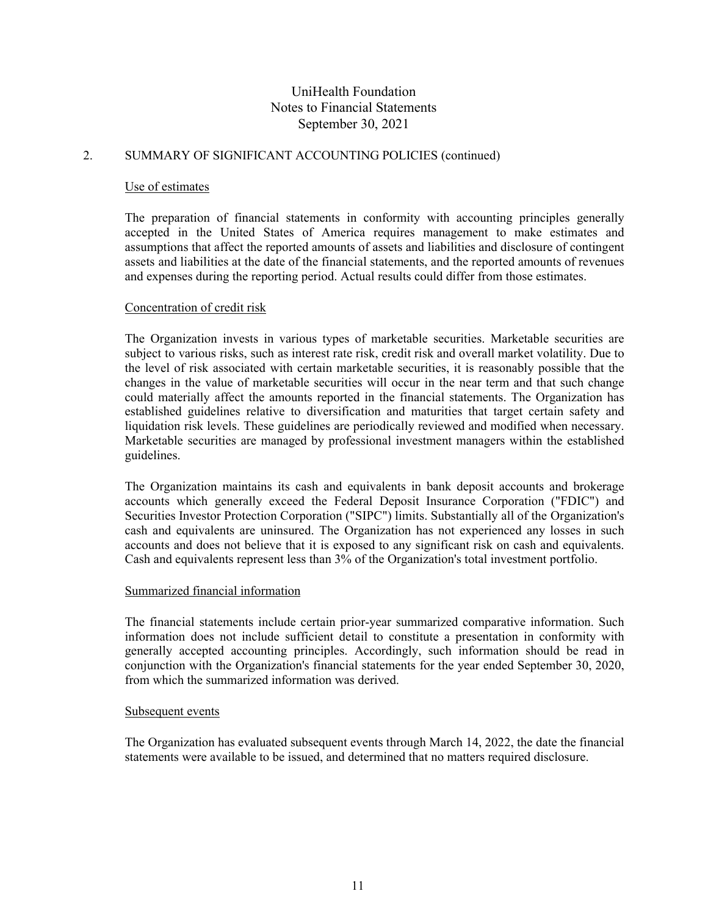## 2. SUMMARY OF SIGNIFICANT ACCOUNTING POLICIES (continued)

## Use of estimates

The preparation of financial statements in conformity with accounting principles generally accepted in the United States of America requires management to make estimates and assumptions that affect the reported amounts of assets and liabilities and disclosure of contingent assets and liabilities at the date of the financial statements, and the reported amounts of revenues and expenses during the reporting period. Actual results could differ from those estimates.

## Concentration of credit risk

The Organization invests in various types of marketable securities. Marketable securities are subject to various risks, such as interest rate risk, credit risk and overall market volatility. Due to the level of risk associated with certain marketable securities, it is reasonably possible that the changes in the value of marketable securities will occur in the near term and that such change could materially affect the amounts reported in the financial statements. The Organization has established guidelines relative to diversification and maturities that target certain safety and liquidation risk levels. These guidelines are periodically reviewed and modified when necessary. Marketable securities are managed by professional investment managers within the established guidelines.

The Organization maintains its cash and equivalents in bank deposit accounts and brokerage accounts which generally exceed the Federal Deposit Insurance Corporation ("FDIC") and Securities Investor Protection Corporation ("SIPC") limits. Substantially all of the Organization's cash and equivalents are uninsured. The Organization has not experienced any losses in such accounts and does not believe that it is exposed to any significant risk on cash and equivalents. Cash and equivalents represent less than 3% of the Organization's total investment portfolio.

## Summarized financial information

The financial statements include certain prior-year summarized comparative information. Such information does not include sufficient detail to constitute a presentation in conformity with generally accepted accounting principles. Accordingly, such information should be read in conjunction with the Organization's financial statements for the year ended September 30, 2020, from which the summarized information was derived.

### Subsequent events

The Organization has evaluated subsequent events through March 14, 2022, the date the financial statements were available to be issued, and determined that no matters required disclosure.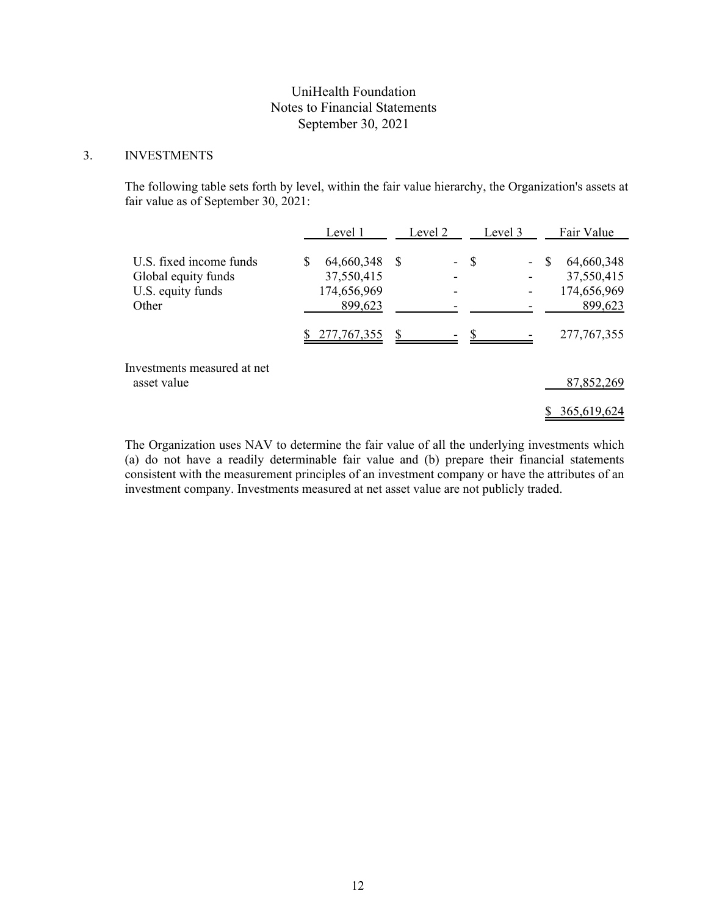## 3. INVESTMENTS

The following table sets forth by level, within the fair value hierarchy, the Organization's assets at fair value as of September 30, 2021:

|                                                                              | Level 1                                                                    | Level 2               | Level 3        | Fair Value                                                                |
|------------------------------------------------------------------------------|----------------------------------------------------------------------------|-----------------------|----------------|---------------------------------------------------------------------------|
| U.S. fixed income funds<br>Global equity funds<br>U.S. equity funds<br>Other | 64,660,348<br>\$.<br>37,550,415<br>174,656,969<br>899,623<br>\$277,767,355 | - S<br>$\blacksquare$ | - \$<br>$\sim$ | 64,660,348<br>-S<br>37,550,415<br>174,656,969<br>899,623<br>277, 767, 355 |
| Investments measured at net<br>asset value                                   |                                                                            |                       |                | 87, 852, 269<br>365,619,624                                               |

The Organization uses NAV to determine the fair value of all the underlying investments which (a) do not have a readily determinable fair value and (b) prepare their financial statements consistent with the measurement principles of an investment company or have the attributes of an investment company. Investments measured at net asset value are not publicly traded.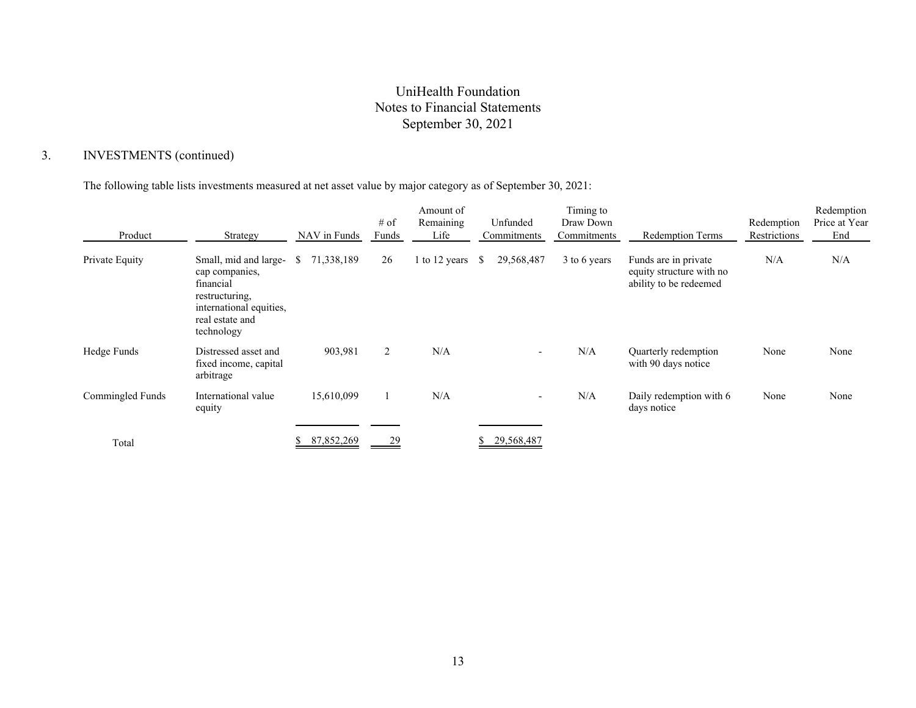## 3. INVESTMENTS (continued)

The following table lists investments measured at net asset value by major category as of September 30, 2021:

| Product          | Strategy                                                                                                                           | NAV in Funds    | # of<br>Funds | Amount of<br>Remaining<br>Life |               | Unfunded<br>Commitments  | Timing to<br>Draw Down<br>Commitments | Redemption Terms                                                           | Redemption<br>Restrictions | Redemption<br>Price at Year<br>End |
|------------------|------------------------------------------------------------------------------------------------------------------------------------|-----------------|---------------|--------------------------------|---------------|--------------------------|---------------------------------------|----------------------------------------------------------------------------|----------------------------|------------------------------------|
| Private Equity   | Small, mid and large-<br>cap companies,<br>financial<br>restructuring.<br>international equities,<br>real estate and<br>technology | 71,338,189<br>S | 26            | 1 to 12 years                  | <sup>\$</sup> | 29,568,487               | 3 to 6 years                          | Funds are in private<br>equity structure with no<br>ability to be redeemed | N/A                        | N/A                                |
| Hedge Funds      | Distressed asset and<br>fixed income, capital<br>arbitrage                                                                         | 903,981         | 2             | N/A                            |               | $\sim$                   | N/A                                   | Quarterly redemption<br>with 90 days notice                                | None                       | None                               |
| Commingled Funds | International value<br>equity                                                                                                      | 15,610,099      |               | N/A                            |               | $\overline{\phantom{0}}$ | N/A                                   | Daily redemption with 6<br>days notice                                     | None                       | None                               |
| Total            |                                                                                                                                    | 87,852,269      | 29            |                                |               | 29,568,487               |                                       |                                                                            |                            |                                    |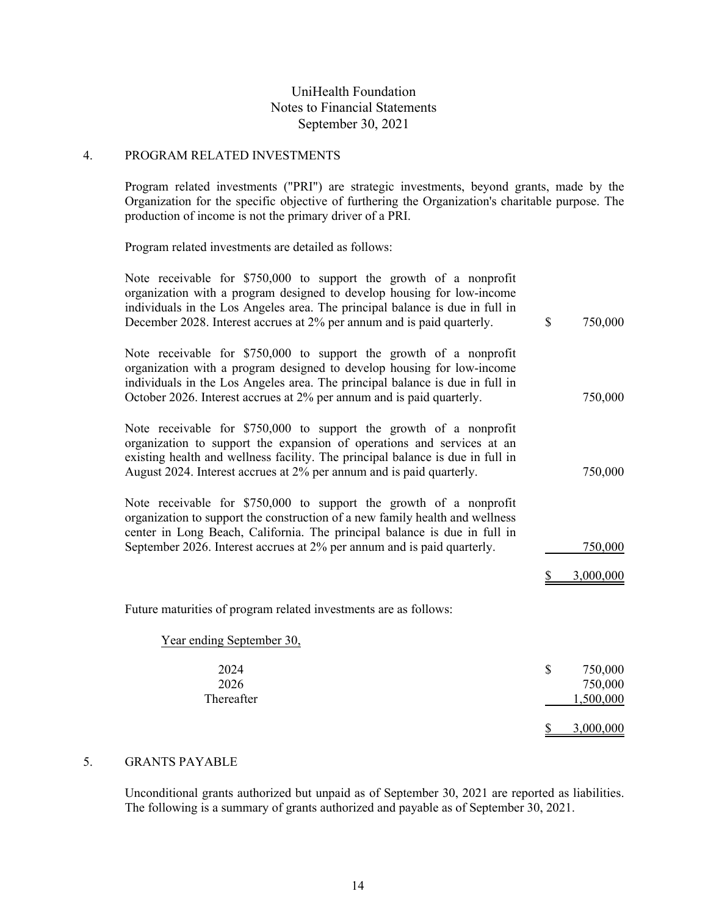## 4. PROGRAM RELATED INVESTMENTS

Program related investments ("PRI") are strategic investments, beyond grants, made by the Organization for the specific objective of furthering the Organization's charitable purpose. The production of income is not the primary driver of a PRI.

Program related investments are detailed as follows:

| Note receivable for \$750,000 to support the growth of a nonprofit<br>organization with a program designed to develop housing for low-income<br>individuals in the Los Angeles area. The principal balance is due in full in<br>December 2028. Interest accrues at 2% per annum and is paid quarterly.     | \$<br>750,000                         |
|------------------------------------------------------------------------------------------------------------------------------------------------------------------------------------------------------------------------------------------------------------------------------------------------------------|---------------------------------------|
| Note receivable for \$750,000 to support the growth of a nonprofit<br>organization with a program designed to develop housing for low-income<br>individuals in the Los Angeles area. The principal balance is due in full in<br>October 2026. Interest accrues at 2% per annum and is paid quarterly.      | 750,000                               |
| Note receivable for \$750,000 to support the growth of a nonprofit<br>organization to support the expansion of operations and services at an<br>existing health and wellness facility. The principal balance is due in full in<br>August 2024. Interest accrues at 2% per annum and is paid quarterly.     | 750,000                               |
| Note receivable for \$750,000 to support the growth of a nonprofit<br>organization to support the construction of a new family health and wellness<br>center in Long Beach, California. The principal balance is due in full in<br>September 2026. Interest accrues at 2% per annum and is paid quarterly. | 750,000                               |
|                                                                                                                                                                                                                                                                                                            | 3,000,000                             |
| Future maturities of program related investments are as follows:                                                                                                                                                                                                                                           |                                       |
| Year ending September 30,                                                                                                                                                                                                                                                                                  |                                       |
| 2024<br>2026<br>Thereafter                                                                                                                                                                                                                                                                                 | \$<br>750,000<br>750,000<br>1,500,000 |
|                                                                                                                                                                                                                                                                                                            | 3,000,000                             |

## 5. GRANTS PAYABLE

Unconditional grants authorized but unpaid as of September 30, 2021 are reported as liabilities. The following is a summary of grants authorized and payable as of September 30, 2021.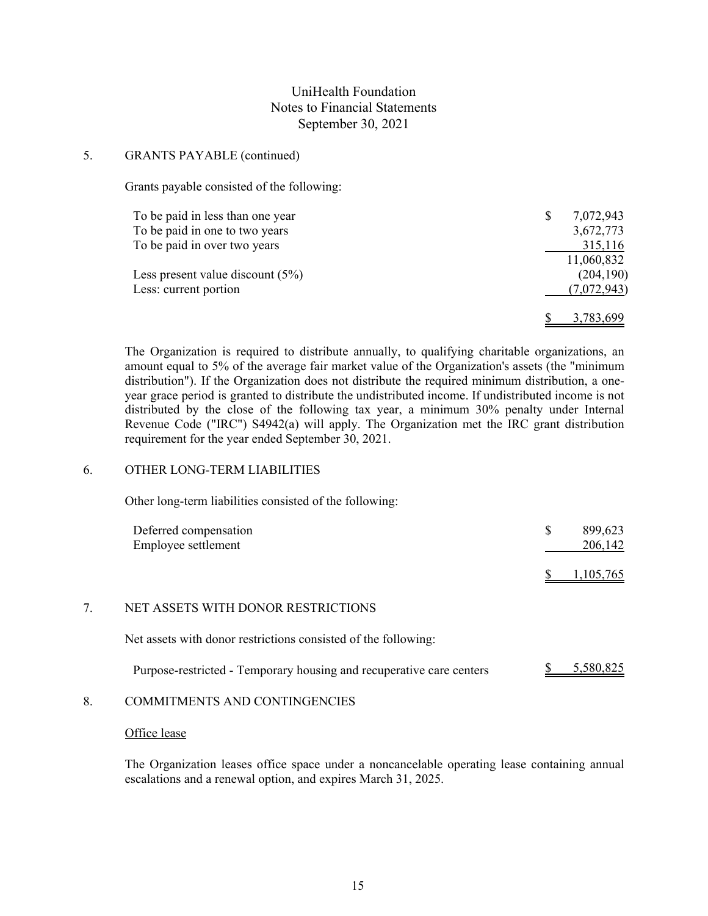## 5. GRANTS PAYABLE (continued)

Grants payable consisted of the following:

| To be paid in less than one year    | 7,072,943   |
|-------------------------------------|-------------|
| To be paid in one to two years      | 3,672,773   |
| To be paid in over two years        | 315,116     |
|                                     | 11,060,832  |
| Less present value discount $(5\%)$ | (204, 190)  |
| Less: current portion               | (7,072,943) |
|                                     | 3,783,699   |

The Organization is required to distribute annually, to qualifying charitable organizations, an amount equal to 5% of the average fair market value of the Organization's assets (the "minimum distribution"). If the Organization does not distribute the required minimum distribution, a oneyear grace period is granted to distribute the undistributed income. If undistributed income is not distributed by the close of the following tax year, a minimum 30% penalty under Internal Revenue Code ("IRC") S4942(a) will apply. The Organization met the IRC grant distribution requirement for the year ended September 30, 2021.

## 6. OTHER LONG-TERM LIABILITIES

Other long-term liabilities consisted of the following:

|    | Deferred compensation<br>Employee settlement                         | \$<br>899,623<br>206,142 |
|----|----------------------------------------------------------------------|--------------------------|
|    |                                                                      | 1,105,765                |
|    | NET ASSETS WITH DONOR RESTRICTIONS                                   |                          |
|    | Net assets with donor restrictions consisted of the following:       |                          |
|    | Purpose-restricted - Temporary housing and recuperative care centers | 5,580,825                |
| 8. | <b>COMMITMENTS AND CONTINGENCIES</b>                                 |                          |
|    |                                                                      |                          |

## Office lease

The Organization leases office space under a noncancelable operating lease containing annual escalations and a renewal option, and expires March 31, 2025.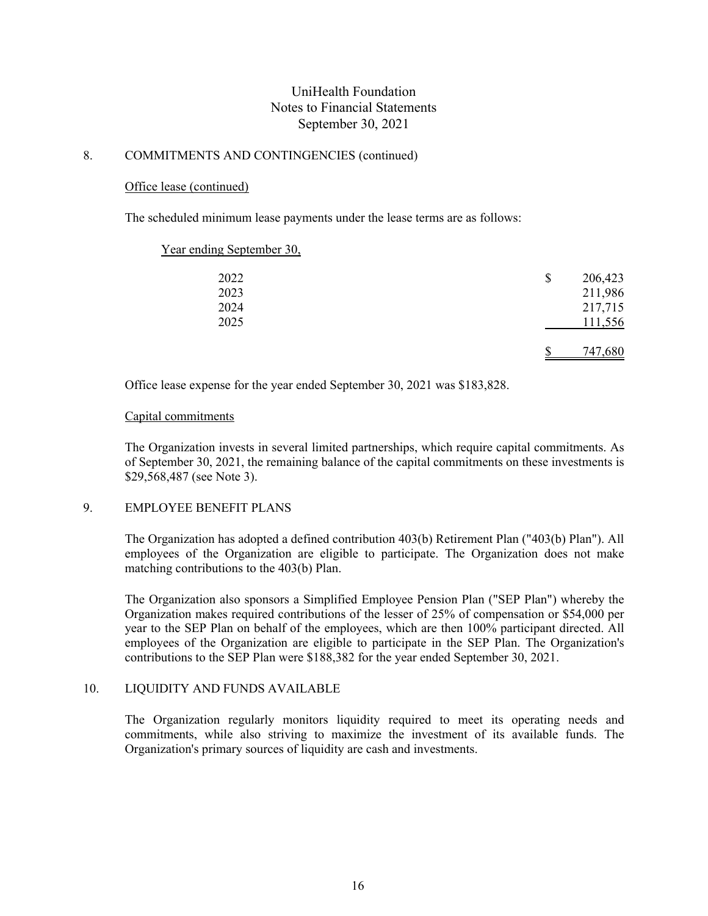## 8. COMMITMENTS AND CONTINGENCIES (continued)

### Office lease (continued)

The scheduled minimum lease payments under the lease terms are as follows:

| Year ending September 30, |  |  |
|---------------------------|--|--|
|                           |  |  |

| 2022<br>2023<br>2024<br>2025 | \$ | 206,423<br>211,986<br>217,715<br>111,556 |
|------------------------------|----|------------------------------------------|
|                              |    | 747,680                                  |

Office lease expense for the year ended September 30, 2021 was \$183,828.

### Capital commitments

The Organization invests in several limited partnerships, which require capital commitments. As of September 30, 2021, the remaining balance of the capital commitments on these investments is \$29,568,487 (see Note 3).

### 9. EMPLOYEE BENEFIT PLANS

The Organization has adopted a defined contribution 403(b) Retirement Plan ("403(b) Plan"). All employees of the Organization are eligible to participate. The Organization does not make matching contributions to the 403(b) Plan.

The Organization also sponsors a Simplified Employee Pension Plan ("SEP Plan") whereby the Organization makes required contributions of the lesser of 25% of compensation or \$54,000 per year to the SEP Plan on behalf of the employees, which are then 100% participant directed. All employees of the Organization are eligible to participate in the SEP Plan. The Organization's contributions to the SEP Plan were \$188,382 for the year ended September 30, 2021.

### 10. LIQUIDITY AND FUNDS AVAILABLE

The Organization regularly monitors liquidity required to meet its operating needs and commitments, while also striving to maximize the investment of its available funds. The Organization's primary sources of liquidity are cash and investments.